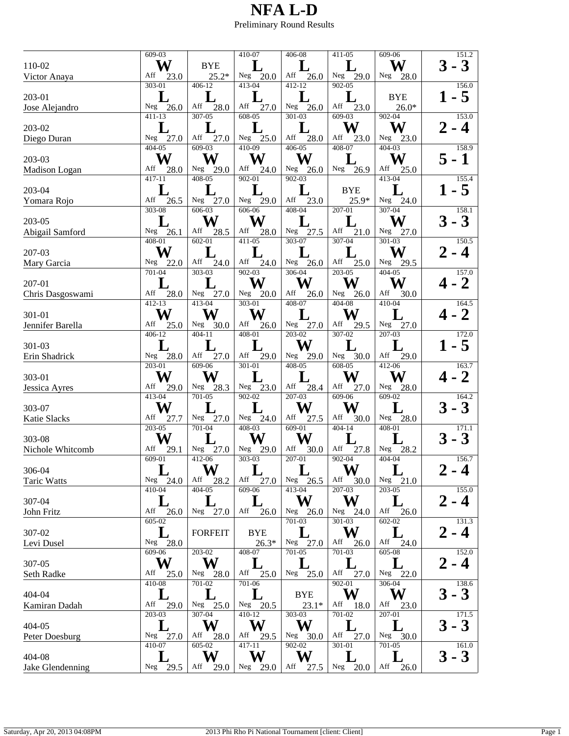|                     | 609-03             | 410-07                 |                        | 406-08                    | 411-05                    | 609-06                | 151.2             |
|---------------------|--------------------|------------------------|------------------------|---------------------------|---------------------------|-----------------------|-------------------|
| 110-02              | W                  | <b>BYE</b>             |                        |                           |                           | W                     | $-3$              |
| Victor Anaya        | Aff<br>23.0        | $25.2*$                | Neg<br>20.0            | Aff<br>26.0               | Neg<br>29.0               | Neg<br>28.0           |                   |
|                     | 303-01             | $406 - 12$             | $413 - 04$             | 412-12                    | $902 - 05$                |                       | 156.0             |
| 203-01              | L                  | $\mathbf L$            |                        |                           | L                         | <b>BYE</b>            | - 5               |
| Jose Alejandro      | Neg $26.0$         | Aff<br>28.0            | Aff<br>27.0            | Neg $26.0$                | Aff<br>23.0               | $26.0*$               |                   |
|                     | 411-13             | $307 - 05$             | $608 - 05$             | 301-03                    | $609-03$                  | 902-04                | 153.0             |
| 203-02              |                    |                        |                        |                           | W                         | W                     | - 4               |
| Diego Duran         | Neg $27.0$         | Aff<br>27.0            | Neg $25.0$             | Aff<br>28.0               | Aff<br>23.0               | Neg 23.0              |                   |
|                     | 404-05             | 609-03                 | $410-09$               | $406 - 05$                | 408-07                    | 404-03                | 158.9             |
| 203-03              | W                  | W                      | W                      | W                         |                           | W                     | - 1               |
|                     | Aff                |                        | Aff                    |                           |                           | Aff                   |                   |
| Madison Logan       | 28.0<br>$417 - 11$ | Neg 29.0<br>$408 - 05$ | 24.0<br>$902 - 01$     | Neg $26.0$<br>$902 - 03$  | Neg<br>26.9               | 25.0<br>$413 - 04$    | 155.4             |
|                     | $\bf L$            |                        |                        |                           |                           |                       |                   |
| 203-04              | Aff                | L                      | L                      |                           | <b>BYE</b>                |                       | - 5               |
| Yomara Rojo         | 26.5<br>$303 - 08$ | Neg 27.0<br>606-03     | Neg 29.0<br>606-06     | Aff<br>23.0<br>$408 - 04$ | 25.9*<br>$207 - 01$       | 24.0<br>Neg<br>307-04 | 158.1             |
|                     |                    |                        |                        |                           |                           |                       |                   |
| 203-05              |                    | W                      | W                      |                           |                           | W                     | $-3$              |
| Abigail Samford     | Neg<br>26.1        | Aff<br>28.5            | Aff<br>28.0            | Neg<br>27.5               | Aff<br>21.0<br>$307 - 04$ | Neg<br>27.0           |                   |
|                     | 408-01             | $602 - 01$             | 411-05                 | 303-07                    |                           | 301-03                | 150.5             |
| 207-03              | W                  | $\mathbf L$            |                        |                           |                           | W                     | - 4               |
| Mary Garcia         | Neg<br>22.0        | Aff<br>24.0            | Aff<br>24.0            | Neg 26.0                  | Aff<br>25.0               | Neg<br>29.5           |                   |
|                     | 701-04             | $303 - 03$             | $902 - 03$             | 306-04                    | 203-05                    | 404-05                | 157.0             |
| 207-01              |                    |                        | W                      | W                         | W                         | W                     | $\mathbf{2}$      |
| Chris Dasgoswami    | Aff<br>28.0        | Neg 27.0               | Neg $20.0$             | Aff<br>26.0               | Neg<br>26.0               | Aff<br>30.0           |                   |
|                     | $412 - 13$         | $413 - 04$             | $303 - 01$             | $408 - 07$                | $404 - 08$                | $410-04$              | 164.5             |
| 301-01              | W                  | W                      | W                      |                           | W                         |                       | $\overline{2}$    |
| Jennifer Barella    | Aff<br>25.0        | Neg $30.0$             | Aff<br>26.0            | Neg $27.0$                | Aff<br>29.5               | Neg $27.0$            |                   |
|                     | 406-12             | $404 - 11$             | 408-01                 | 203-02                    | 307-02                    | 207-03                | 172.0             |
| 301-03              |                    |                        | $\mathbf{L}$           | W                         |                           |                       | - 5               |
| Erin Shadrick       | Neg<br>28.0        | Aff<br>27.0            | Aff<br>29.0            | 29.0<br>Neg               | Neg<br>30.0               | Aff<br>29.0           |                   |
|                     | 203-01             | 609-06                 | 301-01                 | 408-05                    | $608 - 05$                | $412 - 06$            | 163.7             |
| 303-01              | W                  | W                      |                        |                           | W                         | W                     | - 2               |
| Jessica Ayres       | Aff<br>29.0        | Neg<br>28.3            | Neg 23.0               | Aff<br>28.4               | Aff<br>27.0               | 28.0<br>Neg           |                   |
|                     | $413 - 04$         | $701 - 05$             | $902 - 02$             | $207 - 03$                | 609-06                    | 609-02                | 164.2             |
| 303-07              | W                  |                        |                        | W                         | W                         |                       | $-3$              |
| <b>Katie Slacks</b> | Aff<br>27.7        | 27.0<br>Neg            | Neg<br>24.0            | Aff<br>27.5               | Aff<br>30.0               | 28.0<br>Neg           |                   |
|                     | 203-05             | 701-04                 | 408-03                 | 609-01                    | $404 - 14$                | 408-01                | 171.1             |
| 303-08              | W                  |                        | W                      | W                         |                           |                       | $\mathbf{3}$<br>3 |
| Nichole Whitcomb    | Aff<br>29.1        | Neg<br>27.0            | ${\hbox{Neg}}$<br>29.0 | Aff<br>30.0               | Aff<br>27.8               | Neg<br>28.2           |                   |
|                     | $609 - 01$         | $412 - 06$             | $303 - 03$             | $207 - 01$                | $902 - 04$                | $404 - 04$            | 156.7             |
| 306-04              |                    | W                      |                        |                           | $\bf W$                   | L                     | - 4               |
| Taric Watts         | Neg<br>24.0        | Aff<br>28.2            | Aff<br>27.0            | Neg $26.5$                | Aff<br>30.0               | Neg 21.0              |                   |
|                     | $410 - 04$         | $404 - 05$             | $609 - 06$             | $413 - 04$                | 207-03                    | 203-05                | 155.0             |
| 307-04              |                    |                        |                        | W                         | W                         |                       | $\boldsymbol{4}$  |
| John Fritz          | Aff<br>26.0        | 27.0<br>Neg            | Aff<br>26.0            | Neg<br>26.0               | Neg<br>24.0               | Aff<br>26.0           |                   |
|                     | $605 - 02$         |                        |                        | 701-03                    | 301-03                    | $602 - 02$            | 131.3             |
| 307-02              | L                  | <b>FORFEIT</b>         | <b>BYE</b>             |                           | W                         |                       | - 4               |
| Levi Dusel          | Neg 28.0           |                        | $26.3*$                | Neg 27.0                  | Aff<br>26.0               | Aff<br>24.0           |                   |
|                     | $609 - 06$         | 203-02                 | 408-07                 | 701-05                    | 701-03                    | 605-08                | 152.0             |
| 307-05              | W                  | W                      |                        |                           | L                         |                       | - 4               |
| Seth Radke          | Aff<br>25.0        | Neg<br>28.0            | Aff<br>25.0            | Neg $25.0$                | Aff<br>27.0               | Neg 22.0              |                   |
|                     | 410-08             | 701-02                 | 701-06                 |                           | $902 - 01$                | 306-04                | 138.6             |
| 404-04              |                    |                        |                        | <b>BYE</b>                | W                         | W                     | 3<br>$-3$         |
|                     | Aff<br>29.0        | Neg<br>25.0            | Neg<br>20.5            | $23.1*$                   | Aff                       | Aff<br>23.0           |                   |
| Kamiran Dadah       | 203-03             | $307 - 04$             | $410-12$               | $303 - 03$                | 18.0<br>701-02            | 207-01                | 171.5             |
| 404-05              |                    | W                      | W                      | W                         |                           | L                     | 3                 |
|                     | Neg                | Aff                    | Aff                    | Neg                       | L<br>Aff                  | ${\hbox{Neg}}$        | $-3$              |
| Peter Doesburg      | 27.0<br>410-07     | 28.0<br>605-02         | 29.5<br>417-11         | 30.0<br>902-02            | 27.0<br>301-01            | 30.0<br>701-05        | 161.0             |
|                     |                    | W                      | W                      | W                         |                           |                       |                   |
| 404-08              |                    |                        |                        |                           |                           |                       | $-3$<br>3         |
| Jake Glendenning    | Neg<br>29.5        | Aff<br>29.0            | Neg<br>29.0            | Aff<br>27.5               | Neg<br>20.0               | Aff<br>26.0           |                   |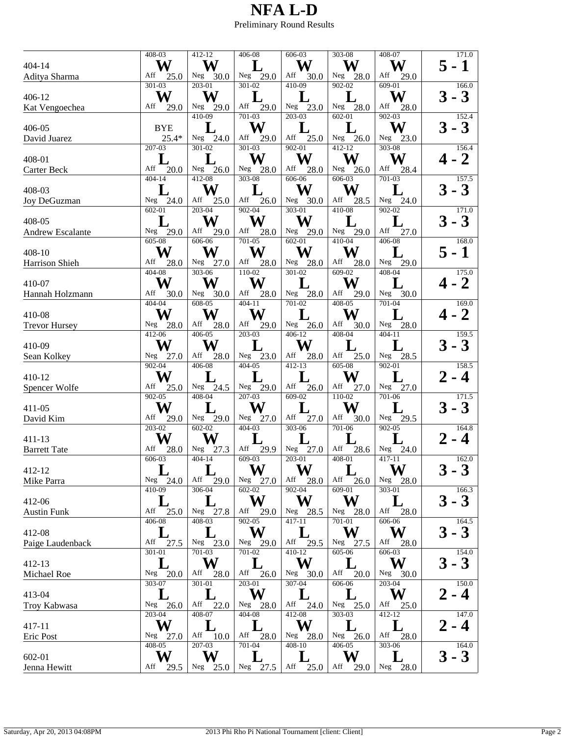|                         | 408-03      | $412 - 12$  | 406-08      | 606-03                                     | 303-08                 | 408-07                  | 171.0                   |
|-------------------------|-------------|-------------|-------------|--------------------------------------------|------------------------|-------------------------|-------------------------|
| 404-14                  | W           | W           |             | W                                          | W                      | W                       | $-1$<br>5               |
| Aditya Sharma           | Aff<br>25.0 | Neg 30.0    | Neg $29.0$  | ${\rm Aff}$<br>30.0                        | Neg<br>28.0            | Aff<br>29.0             |                         |
|                         | 301-03      | $203 - 01$  | 301-02      | $410-09$                                   | $902 - 02$             | $609-01$                | 166.0                   |
|                         |             |             |             |                                            |                        |                         |                         |
| 406-12                  | W           | W           | L           |                                            |                        | W                       | $-3$<br>3               |
| Kat Vengoechea          | Aff<br>29.0 | Neg $29.0$  | Aff 29.0    | Neg $23.0$                                 | Neg<br>28.0            | Aff<br>28.0             |                         |
|                         |             | $410-09$    | 701-03      | $203 - 03$                                 | 602-01                 | 902-03                  | 152.4                   |
| 406-05                  | <b>BYE</b>  |             | W           |                                            |                        | W                       | 3<br>$-3$               |
|                         |             |             |             |                                            |                        |                         |                         |
| David Juarez            | $25.4*$     | Neg $24.0$  | Aff<br>29.0 | Aff<br>25.0                                | Neg $26.0$             | Neg 23.0                |                         |
|                         | 207-03      | 301-02      | $301 - 03$  | $902 - 01$                                 | $412 - 12$             | 303-08                  | 156.4                   |
| 408-01                  |             |             | W           | W                                          | W                      | W                       | $\overline{\mathbf{2}}$ |
| Carter Beck             | Aff<br>20.0 | Neg $26.0$  | Neg 28.0    | Aff<br>28.0                                | Neg $26.0$             | Aff<br>28.4             |                         |
|                         | $404 - 14$  | $412 - 08$  | $303 - 08$  | 606-06                                     | $606 - 03$             | $701 - 03$              | 157.5                   |
|                         |             |             |             |                                            |                        |                         |                         |
| 408-03                  |             | W           | L           | W                                          | W                      |                         | $-3$<br>3               |
| Joy DeGuzman            | Neg 24.0    | Aff<br>25.0 | 26.0<br>Aff | Neg $30.0$                                 | Aff<br>28.5            | $Neg$ <sup>-</sup> 24.0 |                         |
|                         | 602-01      | $203 - 04$  | $902 - 04$  | $303 - 01$                                 | $410 - 08$             | 902-02                  | 171.0                   |
| 408-05                  | L           | W           | W           | W                                          |                        |                         | $-3$<br>3               |
|                         |             |             |             |                                            |                        |                         |                         |
| <b>Andrew Escalante</b> | Neg $29.0$  | Aff<br>29.0 | Aff<br>28.0 | Neg<br>29.0                                | Neg<br>29.0            | Aff<br>27.0             |                         |
|                         | 605-08      | 606-06      | 701-05      | $602 - 01$                                 | $410-04$               | 406-08                  | 168.0                   |
| 408-10                  | W           | W           | W           | W                                          | W                      |                         | $-1$<br>5               |
| Harrison Shieh          | Aff<br>28.0 | Neg $27.0$  | Aff<br>28.0 | Neg 28.0                                   | Aff<br>28.0            | Neg<br>29.0             |                         |
|                         | $404 - 08$  | 303-06      | $110 - 02$  | 301-02                                     | $609-02$               | 408-04                  | 175.0                   |
|                         |             |             |             |                                            |                        |                         |                         |
| 410-07                  | W           | W           | W           |                                            | W                      |                         | 2                       |
| Hannah Holzmann         | Aff<br>30.0 | Neg $30.0$  | Aff<br>28.0 | Neg 28.0                                   | Aff<br>29.0            | Neg<br>30.0             |                         |
|                         | $404 - 04$  | $608 - 05$  | $404 - 11$  | $701 - 02$                                 | $408 - 05$             | $701 - 04$              | 169.0                   |
| 410-08                  | W           | W           | W           |                                            | W                      |                         | $\mathbf{2}$            |
|                         |             |             |             |                                            |                        |                         |                         |
| <b>Trevor Hursey</b>    | Neg $28.0$  | Aff<br>28.0 | Aff<br>29.0 | Neg $26.0$                                 | Aff<br>30.0            | Neg 28.0                |                         |
|                         | 412-06      | 406-05      | 203-03      | 406-12                                     | 408-04                 | $404 - 11$              | 159.5                   |
| 410-09                  | W           | W           | L           | W                                          |                        |                         | 3<br>$-3$               |
| Sean Kolkey             | Neg $27.0$  | Aff<br>28.0 | Neg $23.0$  | Aff<br>28.0                                | Aff<br>25.0            | Neg 28.5                |                         |
|                         | $902 - 04$  |             |             |                                            | 605-08                 |                         |                         |
|                         |             | 406-08      | 404-05      | 412-13                                     |                        | 902-01                  | 158.5                   |
| 410-12                  | W           |             |             |                                            | W                      |                         | - 4                     |
| Spencer Wolfe           | Aff<br>25.0 | Neg 24.5    | Neg 29.0    | Aff<br>26.0                                | Aff<br>27.0            | Neg $27.0$              |                         |
|                         | $902 - 05$  | $408 - 04$  | $207 - 03$  | $609 - 02$                                 | $110-02$               | 701-06                  | 171.5                   |
|                         | W           |             | W           |                                            | W                      |                         |                         |
| 411-05                  |             | L           |             |                                            |                        |                         | - 3                     |
| David Kim               | Aff<br>29.0 | Neg<br>29.0 | 27.0<br>Neg | Aff<br>27.0                                | Aff<br>30.0            | 29.5<br>Neg             |                         |
|                         | 203-02      | 602-02      | 404-03      | 303-06                                     | 701-06                 | 902-05                  | 164.8                   |
| 411-13                  | W           | W           |             |                                            |                        |                         | $\boldsymbol{4}$        |
| <b>Barrett Tate</b>     | Aff<br>28.0 | Neg<br>27.3 | Aff<br>29.9 | Neg $27.0$                                 | Aff<br>28.6            | Neg<br>24.0             |                         |
|                         | 606-03      | $404 - 14$  | 609-03      | $203 - 01$                                 | 408-01                 | $417 - 11$              | 162.0                   |
|                         |             |             |             |                                            |                        |                         |                         |
| 412-12                  |             |             | $\bf W$     | W                                          |                        | W                       | $3 - 3$                 |
| Mike Parra              | Neg $24.0$  | Aff<br>29.0 | Neg 27.0    | Aff<br>28.0                                | Aff<br>26.0            | Neg 28.0                |                         |
|                         | 410-09      | 306-04      | $602 - 02$  | $902 - 04$                                 | 609-01                 | 303-01                  | 166.3                   |
| 412-06                  |             |             | W           | W                                          | W                      |                         | 3<br>$\mathbf{3}$       |
|                         |             |             |             |                                            |                        |                         |                         |
| <b>Austin Funk</b>      | Aff<br>25.0 | Neg 27.8    | Aff<br>29.0 | Neg<br>28.5                                | Neg<br>28.0            | Aff<br>28.0             |                         |
|                         | 406-08      | $408 - 03$  | $902 - 05$  | 417-11                                     | 701-01                 | $606 - 06$              | 164.5                   |
| 412-08                  |             |             | W           |                                            | W                      | W                       | 3<br>$-3$               |
| Paige Laudenback        | Aff<br>27.5 | Neg 23.0    | Neg 29.0    | Aff<br>29.5                                | Neg<br>27.5            | Aff<br>28.0             |                         |
|                         | 301-01      | 701-03      | 701-02      | 410-12                                     | 605-06                 | 606-03                  | 154.0                   |
|                         |             |             |             |                                            |                        |                         |                         |
| 412-13                  |             | W           | $\bf L$     | W                                          |                        | W                       | $-3$<br>3               |
| Michael Roe             | 20.0<br>Neg | Aff<br>28.0 | Aff<br>26.0 | Neg<br>30.0                                | Aff<br>20.0            | 30.0<br>Neg             |                         |
|                         | 303-07      | 301-01      | $203 - 01$  | 307-04                                     | 606-06                 | $203 - 04$              | 150.0                   |
| 413-04                  | L           |             | W           |                                            |                        | W                       | - 4                     |
|                         |             |             |             |                                            |                        |                         |                         |
| Troy Kabwasa            | 26.0<br>Neg | Aff<br>22.0 | Neg<br>28.0 | ${\mathop{\mathrm{Aff}}\nolimits}$<br>24.0 | Neg<br>25.0            | Aff<br>25.0             |                         |
|                         | 203-04      | 408-07      | 404-08      | 412-08                                     | 303-03                 | 412-12                  | 147.0                   |
| 417-11                  | W           | L           | L           | W                                          |                        | $\bf L$                 | - 4                     |
| Eric Post               | Neg<br>27.0 | Aff<br>10.0 | Aff<br>28.0 | Neg<br>28.0                                | ${\hbox{Neg}}$<br>26.0 | Aff<br>28.0             |                         |
|                         | $408 - 05$  | 207-03      | 701-04      | 408-10                                     | 406-05                 | 303-06                  | 164.0                   |
|                         | W           | W           |             |                                            | W                      |                         |                         |
| 602-01                  |             |             |             |                                            |                        |                         | 3<br>$-3$               |
| Jenna Hewitt            | Aff<br>29.5 | Neg<br>25.0 | Neg<br>27.5 | Aff<br>25.0                                | Aff<br>29.0            | Neg<br>28.0             |                         |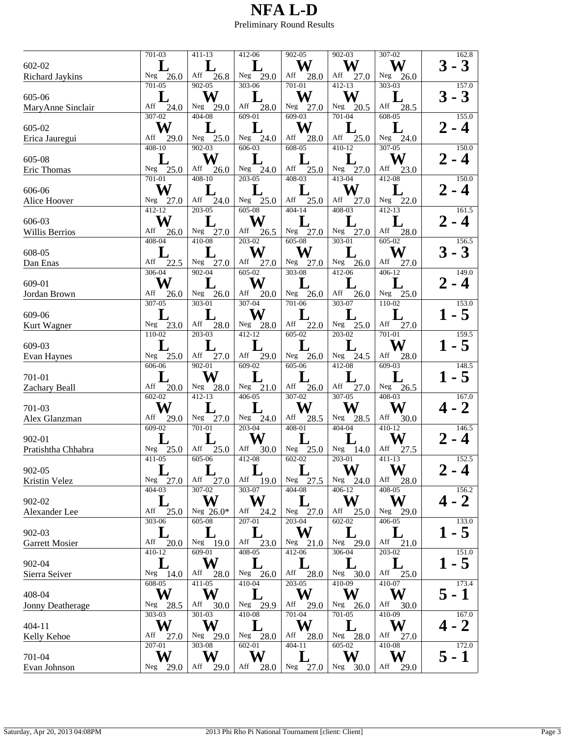|                       | 701-03        | 411-13      | 412-06       | 902-05      | 902-03      | 307-02      | 162.8                    |
|-----------------------|---------------|-------------|--------------|-------------|-------------|-------------|--------------------------|
|                       |               |             |              |             |             |             |                          |
| 602-02                |               |             |              | W           | W           | W           | $-3$                     |
| Richard Jaykins       | Neg $26.0$    | Aff<br>26.8 | Neg 29.0     | Aff<br>28.0 | Aff<br>27.0 | Neg $26.0$  |                          |
|                       | 701-05        | $902 - 05$  | $303 - 06$   | $701 - 01$  | $412 - 13$  | $303 - 03$  | 157.0                    |
|                       | L             | W           | ${\bf L}$    | W           | W           | L           | $-3$<br>3                |
| 605-06                |               |             |              |             |             |             |                          |
| MaryAnne Sinclair     | Aff<br>24.0   | Neg $29.0$  | Aff<br>28.0  | Neg 27.0    | Neg<br>20.5 | Aff<br>28.5 |                          |
|                       | $307 - 02$    | $404 - 08$  | 609-01       | $609-03$    | $701 - 04$  | 608-05      | 155.0                    |
| 605-02                | W             |             |              | W           |             |             | $\boldsymbol{4}$         |
|                       | Aff           |             |              | Aff         | Aff         |             |                          |
| Erica Jauregui        | 29.0          | Neg $25.0$  | Neg $24.0$   | 28.0        | 25.0        | Neg $24.0$  |                          |
|                       | 408-10        | $902 - 03$  | 606-03       | 608-05      | 410-12      | $307 - 05$  | 150.0                    |
| 605-08                |               | W           | L            |             |             | W           | - 4                      |
| Eric Thomas           | Neg $25.0$    | Aff<br>26.0 | Neg $24.0$   | Aff<br>25.0 | Neg $27.0$  | Aff<br>23.0 |                          |
|                       | 701-01        | 408-10      | 203-05       | 408-03      | 413-04      | 412-08      | 150.0                    |
|                       |               |             |              |             |             |             |                          |
| 606-06                | W             | L           | L            | L           | W           |             | - 4                      |
| Alice Hoover          | Neg $27.0$    | Aff<br>24.0 | Neg 25.0     | Aff<br>25.0 | Aff<br>27.0 | Neg 22.0    |                          |
|                       | 412-12        | 203-05      | 605-08       | 404-14      | 408-03      | 412-13      | 161.5                    |
| 606-03                | W             |             | W            |             |             |             | - 4                      |
|                       |               |             |              |             |             |             |                          |
| Willis Berrios        | Aff<br>26.0   | Neg $27.0$  | Aff<br>26.5  | Neg 27.0    | Neg<br>27.0 | Aff<br>28.0 |                          |
|                       | $408 - 04$    | 410-08      | $203 - 02$   | 605-08      | 303-01      | 605-02      | 156.5                    |
| 608-05                |               | L           | W            | W           |             | W           | 3<br>$-3$                |
| Dan Enas              | Aff<br>22.5   | Neg 27.0    | Aff<br>27.0  | Neg<br>27.0 | Neg<br>26.0 | Aff<br>27.0 |                          |
|                       | 306-04        |             |              |             |             |             |                          |
|                       |               | 902-04      | 605-02       | 303-08      | 412-06      | $406 - 12$  | 149.0                    |
| 609-01                | W             |             | W            |             |             |             | $\boldsymbol{4}$         |
| Jordan Brown          | Aff<br>26.0   | Neg 26.0    | Aff<br>20.0  | Neg $26.0$  | Aff<br>26.0 | Neg $25.0$  |                          |
|                       | $307 - 05$    | $303 - 01$  | $307 - 04$   | $701 - 06$  | $303 - 07$  | $110-02$    | 153.0                    |
|                       |               |             | W            |             |             |             |                          |
| 609-06                |               | L           |              |             |             | L           | - 5                      |
| Kurt Wagner           | Neg $23.0$    | Aff<br>28.0 | 28.0<br>Neg  | Aff 22.0    | Neg $25.0$  | Aff<br>27.0 |                          |
|                       | 110-02        | 203-03      | 412-12       | 605-02      | 203-02      | 701-01      | 159.5                    |
| 609-03                |               |             |              |             |             | W           | $\overline{5}$           |
|                       |               |             | Aff          |             |             |             |                          |
| <b>Evan Haynes</b>    | Neg $25.0$    | Aff<br>27.0 | 29.0         | Neg 26.0    | Neg 24.5    | Aff<br>28.0 |                          |
|                       | 606-06        | 902-01      | 609-02       | 605-06      | 412-08      | 609-03      | 148.5                    |
| 701-01                |               | W           |              |             |             |             | - 5                      |
| Zachary Beall         | Aff<br>20.0   | Neg 28.0    | Neg $21.0$   | Aff<br>26.0 | Aff<br>27.0 | Neg 26.5    |                          |
|                       | $602 - 02$    | $412 - 13$  | 406-05       | $307 - 02$  | 307-05      | 408-03      | 167.0                    |
|                       |               |             |              |             |             |             |                          |
| 701-03                | W             | $\mathbf L$ | $\bf L$      | W           | W           | W           | 2                        |
| Alex Glanzman         | Aff<br>29.0   | 27.0<br>Neg | Neg $24.0$   | Aff<br>28.5 | Neg<br>28.5 | Aff<br>30.0 |                          |
|                       | 609-02        | 701-01      | 203-04       | $408 - 01$  | $404 - 04$  | 410-12      | 146.5                    |
| 902-01                |               |             | W            |             |             | W           | $\boldsymbol{4}$         |
|                       |               |             |              |             |             |             |                          |
| Pratishtha Chhabra    | Neg $25.0$    | Aff<br>25.0 | Aff<br>30.0  | Neg $25.0$  | Neg $14.0$  | Aff<br>27.5 |                          |
|                       | 411-05        | 605-06      | 412-08       | $602 - 02$  | 203-01      | $411 - 13$  | 152.5                    |
| 902-05                | L             | L           | $\mathbf{L}$ |             | W           | W           | - 4                      |
| Kristin Velez         | Neg<br>27.0   | Aff<br>27.0 | Aff<br>19.0  | Neg 27.5    | Neg<br>24.0 | Aff<br>28.0 |                          |
|                       | 404-03        | 307-02      | 303-07       | 404-08      | $406 - 12$  | $408 - 05$  | 156.2                    |
|                       |               |             |              |             |             |             |                          |
| 902-02                |               | W           | W            |             | W           | W           | 2                        |
| Alexander Lee         | Aff<br>25.0   | Neg $26.0*$ | Aff<br>24.2  | Neg 27.0    | Aff<br>25.0 | Neg<br>29.0 |                          |
|                       | $303 - 06$    | $605 - 08$  | $207 - 01$   | $203 - 04$  | $602 - 02$  | $406 - 05$  | 133.0                    |
|                       |               | L           |              | W           |             | L           |                          |
| 902-03                |               |             |              |             |             |             | - 5                      |
| <b>Garrett Mosier</b> | Aff<br>20.0   | Neg $19.0$  | Aff<br>23.0  | Neg<br>21.0 | Neg<br>29.0 | Aff<br>21.0 |                          |
|                       | 410-12        | 609-01      | 408-05       | 412-06      | 306-04      | 203-02      | 151.0                    |
| 902-04                | L             | W           |              |             |             |             | - 5                      |
| Sierra Seiver         | Neg<br>- 14.0 | Aff<br>28.0 | Neg $26.0$   | Aff<br>28.0 | Neg<br>30.0 | Aff<br>25.0 |                          |
|                       |               |             |              | $203 - 05$  |             | 410-07      |                          |
|                       | 608-05        | 411-05      | 410-04       |             | 410-09      |             | 173.4                    |
| 408-04                | W             | W           |              | W           | W           | W           | 1<br>5<br>$\blacksquare$ |
| Jonny Deatherage      | 28.5<br>Neg   | Aff<br>30.0 | 29.9<br>Neg  | Aff<br>29.0 | Neg<br>26.0 | Aff<br>30.0 |                          |
|                       | $303 - 03$    | $301 - 03$  | 410-08       | 701-04      | 701-05      | 410-09      | 167.0                    |
|                       | W             |             |              |             |             |             |                          |
| 404-11                |               | W           |              | W           |             | W           | 2                        |
| Kelly Kehoe           | Aff<br>27.0   | Neg<br>29.0 | 28.0<br>Neg  | Aff<br>28.0 | Neg<br>28.0 | Aff<br>27.0 |                          |
|                       | 207-01        | 303-08      | 602-01       | 404-11      | 605-02      | 410-08      | 172.0                    |
| 701-04                | W             | W           | W            |             | W           | W           | 5 -<br>$\mathbf 1$       |
|                       |               |             |              |             |             |             |                          |
| Evan Johnson          | Neg<br>29.0   | Aff<br>29.0 | Aff<br>28.0  | Neg<br>27.0 | Neg<br>30.0 | Aff<br>29.0 |                          |